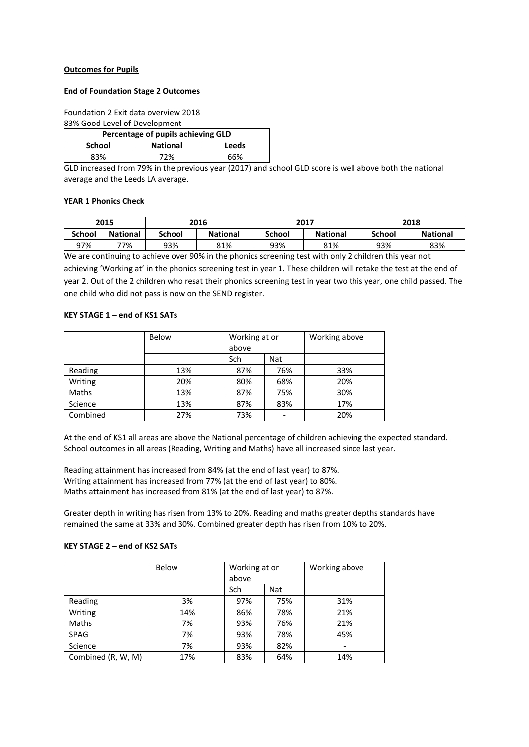# **Outcomes for Pupils**

### **End of Foundation Stage 2 Outcomes**

Foundation 2 Exit data overview 2018

### 83% Good Level of Development

| Percentage of pupils achieving GLD |                          |     |  |  |  |  |
|------------------------------------|--------------------------|-----|--|--|--|--|
| School                             | <b>National</b><br>Leeds |     |  |  |  |  |
| 83%                                | 72%                      | 66% |  |  |  |  |

GLD increased from 79% in the previous year (2017) and school GLD score is well above both the national average and the Leeds LA average.

#### **YEAR 1 Phonics Check**

|               | 2015            |               | 2016            | 2017   |                 | 2018          |                 |
|---------------|-----------------|---------------|-----------------|--------|-----------------|---------------|-----------------|
| <b>School</b> | <b>National</b> | <b>School</b> | <b>National</b> | School | <b>National</b> | <b>School</b> | <b>National</b> |
| 97%           | 77%             | 93%           | 81%             | 93%    | 81%             | 93%           | 83%             |

We are continuing to achieve over 90% in the phonics screening test with only 2 children this year not achieving 'Working at' in the phonics screening test in year 1. These children will retake the test at the end of year 2. Out of the 2 children who resat their phonics screening test in year two this year, one child passed. The one child who did not pass is now on the SEND register.

# **KEY STAGE 1 – end of KS1 SATs**

|          | Below | Working at or |                          | Working above |  |
|----------|-------|---------------|--------------------------|---------------|--|
|          |       | above         |                          |               |  |
|          |       | Sch           | Nat                      |               |  |
| Reading  | 13%   | 87%           | 76%                      | 33%           |  |
| Writing  | 20%   | 80%           | 68%                      | 20%           |  |
| Maths    | 13%   | 87%           | 75%                      | 30%           |  |
| Science  | 13%   | 87%           | 83%                      | 17%           |  |
| Combined | 27%   | 73%           | $\overline{\phantom{0}}$ | 20%           |  |

At the end of KS1 all areas are above the National percentage of children achieving the expected standard. School outcomes in all areas (Reading, Writing and Maths) have all increased since last year.

Reading attainment has increased from 84% (at the end of last year) to 87%. Writing attainment has increased from 77% (at the end of last year) to 80%. Maths attainment has increased from 81% (at the end of last year) to 87%.

Greater depth in writing has risen from 13% to 20%. Reading and maths greater depths standards have remained the same at 33% and 30%. Combined greater depth has risen from 10% to 20%.

#### **KEY STAGE 2 – end of KS2 SATs**

|                    | Below | Working at or<br>above |     | Working above |
|--------------------|-------|------------------------|-----|---------------|
|                    |       | Sch                    | Nat |               |
| Reading            | 3%    | 97%                    | 75% | 31%           |
| Writing            | 14%   | 86%                    | 78% | 21%           |
| Maths              | 7%    | 93%                    | 76% | 21%           |
| <b>SPAG</b>        | 7%    | 93%                    | 78% | 45%           |
| Science            | 7%    | 93%                    | 82% | ۰             |
| Combined (R, W, M) | 17%   | 83%                    | 64% | 14%           |